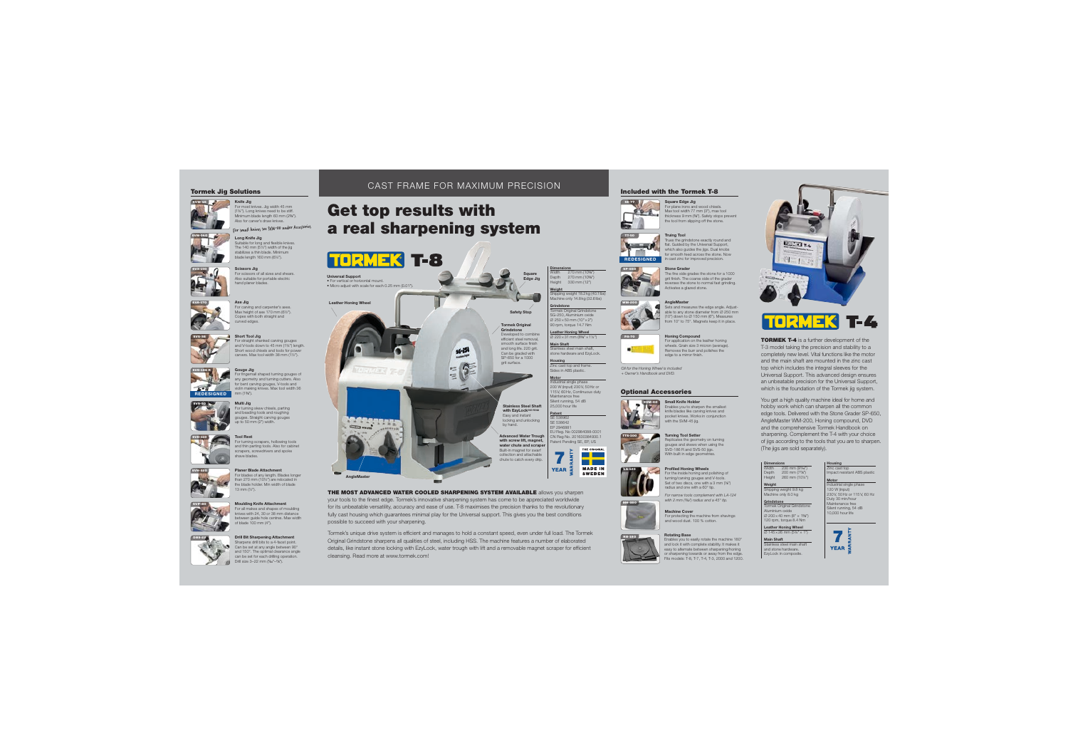# Tormek Jig Solutions



# Also for carver's draw knives.

Knife Jig



Suitable for long and flexible knives. The 140 mm (5½") width of the jig stabilizes a thin blade. Minimum blade length 160 mm (6¼").



SVA-170

SVS-50

 $SVD.110$ 

SVP-80

Axe Jig





















 For most knives. Jig width 45 mm (1¾"). Long knives need to be stiff. Minimum blade length 60 mm (2⅜"). For small knives see SVM-00 under Accessories





 For carving and carpenter's axes. Max height of axe 170 mm (616").



















# Can be set at any angle between 90° and 150°. The optimal clearance angle can be set for each drilling operation.

# CAST FRAME FOR MAXIMUM PRECISION

# Get top results with a real sharpening system



Universal Support • For vertical or horizontal mount.• Micro adjust with scale for each 0.25 mm (0.01").

Leather Honing Wheel









Tormek's unique drive system is efficient and manages to hold a constant speed, even under full load. The Tormek Original Grindstone sharpens all qualities of steel, including HSS. The machine features a number of elaborated details, like instant stone locking with EzyLock, water trough with lift and a removable magnet scraper for efficient cleansing. Read more at www.tormek.com!

# Included with the Tormek T-8







# SP-650Stone Grader

The fine side grades the stone for a 1000 grit finish. The coarse side of the grader reverses the stone to normal fast grinding. Activates a glazed stone.

## **AngleMaster**



Honing Compound

 For application on the leather honing wheels. Grain size 3 micron (average) Removes the burr and polishes the edge to a mirror %nish.

# Optional Accessories



MH-380

 Enables you to sharpen the smallest knife blades like carving knives and pocket knives. Works in conjunction with the SVM-45 jig.



Replicates the geometry on turning gouges and skews when using the SVD-186 R and SVS-50 jigs. With built in edge geometries.

### Profiled Honing Wheels



Set of two discs, one with a 3 mm (1/4") radius and one with a 60° tip.

*For narrow tools complement with LA-124 with 2 mm (*3⁄32*") radius and a 45° tip.*

Machine Cover For protecting the machine from shavings and wood dust. 100 % cotton.

### Rotating Base









 $T-4$ ×

TORMEK T-4 is a further development of the T-3 model taking the precision and stability to a completely new level. Vital functions like the motor and the main shaft are mounted in the zinc cast top which includes the integral sleeves for the Universal Support. This advanced design ensures an unbeatable precision for the Universal Support, which is the foundation of the Tormek jig system.

You get a high quality machine ideal for home and hobby work which can sharpen all the common edge tools. Delivered with the Stone Grader SP-650, AngleMaster WM-200, Honing compound, DVD and the comprehensive Tormek Handbook on sharpening. Complement the T-4 with your choice of jigs according to the tools that you are to sharpen. (The jigs are sold separately).



 Industrial single phase 120 W (input) 230V, 50Hz or 115V, 60 Hz Duty 30 min/hour Maintenance freeSilent running, 54 dB 10,000 hour life

Grindstone<br>Tormek Original Grindstone Aluminium oxide ∅ 200×40 mm (8" × 1⅝") 120 rpm, torque 8.4 NmLeather Honing Wheel

∅ 145×26 mm (5¾"× 1") Main Shaft Stainless steel main shaft and stone hardware.EzyLock in composite.

**Width** 

Weight Shipping weight 9.8 kg Machine only 8.0 kg











WM-200

*Oil for the Honing Wheel is included + Owner's Handbook and DVD.*





















 EU Reg. No 002984088-0001 CN Reg No. 201630384930.1 Patent Pending SE, EP, US

**YEAR** 

Tormek Original Grindstone Developed to combine ef%cient steel removal, smooth surface finish and long life. 220 grit. Can be graded with SP-650 for a 1000 grit surface.

Safety Stop

Square Edge Jig Dimensions 270 mm (10⅝") Depth 270 mm (10⅝") Height 330 mm (12") Weight hipping weight 18.2kg (40.1lbs) Machine only 14.8kg (32.6lbs) Grindstone Tormek Original Grindstone SG-250, Aluminium oxide

Main Shaft

Stainless Steel Shaft with EzyLock<sup>PAT PEND</sup> Easy and instant locking and unlocking by hand. Advanced Water Trough with screw lift, magnet. water chute and scrape Built-in magnet for swarf collection and attachable chute to catch every drip.



THE ORIGINAL **The Company** 

**MADE IN SWEDEN**